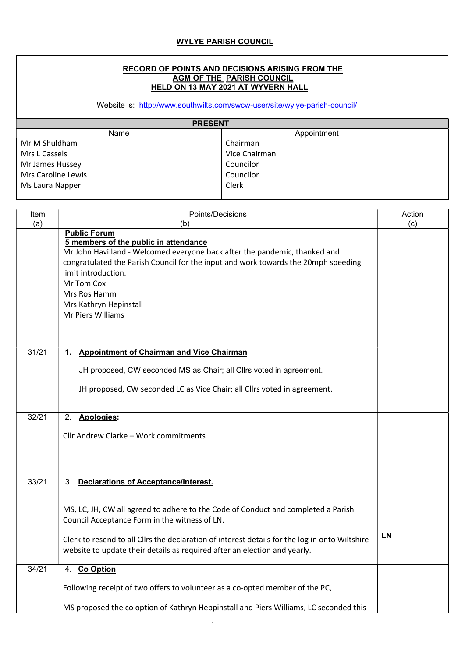## WYLYE PARISH COUNCIL

## RECORD OF POINTS AND DECISIONS ARISING FROM THE AGM OF THE PARISH COUNCIL HELD ON 13 MAY 2021 AT WYVERN HALL

Website is: http://www.southwilts.com/swcw-user/site/wylye-parish-council/

| <b>PRESENT</b>     |               |  |  |
|--------------------|---------------|--|--|
| Name               | Appointment   |  |  |
| Mr M Shuldham      | Chairman      |  |  |
| Mrs L Cassels      | Vice Chairman |  |  |
| Mr James Hussey    | Councilor     |  |  |
| Mrs Caroline Lewis | Councilor     |  |  |
| Ms Laura Napper    | Clerk         |  |  |
|                    |               |  |  |

| Item  | Points/Decisions                                                                                                                                                                                                                                                                                                                     | Action |
|-------|--------------------------------------------------------------------------------------------------------------------------------------------------------------------------------------------------------------------------------------------------------------------------------------------------------------------------------------|--------|
| (a)   | (b)                                                                                                                                                                                                                                                                                                                                  | (c)    |
|       | <b>Public Forum</b><br>5 members of the public in attendance<br>Mr John Havilland - Welcomed everyone back after the pandemic, thanked and<br>congratulated the Parish Council for the input and work towards the 20mph speeding<br>limit introduction.<br>Mr Tom Cox<br>Mrs Ros Hamm<br>Mrs Kathryn Hepinstall<br>Mr Piers Williams |        |
| 31/21 | <b>Appointment of Chairman and Vice Chairman</b><br>1.                                                                                                                                                                                                                                                                               |        |
|       | JH proposed, CW seconded MS as Chair; all Cllrs voted in agreement.<br>JH proposed, CW seconded LC as Vice Chair; all Cllrs voted in agreement.                                                                                                                                                                                      |        |
| 32/21 | 2. Apologies:                                                                                                                                                                                                                                                                                                                        |        |
|       | Cllr Andrew Clarke - Work commitments                                                                                                                                                                                                                                                                                                |        |
| 33/21 | 3. Declarations of Acceptance/Interest.                                                                                                                                                                                                                                                                                              |        |
|       | MS, LC, JH, CW all agreed to adhere to the Code of Conduct and completed a Parish<br>Council Acceptance Form in the witness of LN.<br>Clerk to resend to all Cllrs the declaration of interest details for the log in onto Wiltshire<br>website to update their details as required after an election and yearly.                    | LN     |
| 34/21 | <b>Co Option</b><br>4.                                                                                                                                                                                                                                                                                                               |        |
|       | Following receipt of two offers to volunteer as a co-opted member of the PC,                                                                                                                                                                                                                                                         |        |
|       | MS proposed the co option of Kathryn Heppinstall and Piers Williams, LC seconded this                                                                                                                                                                                                                                                |        |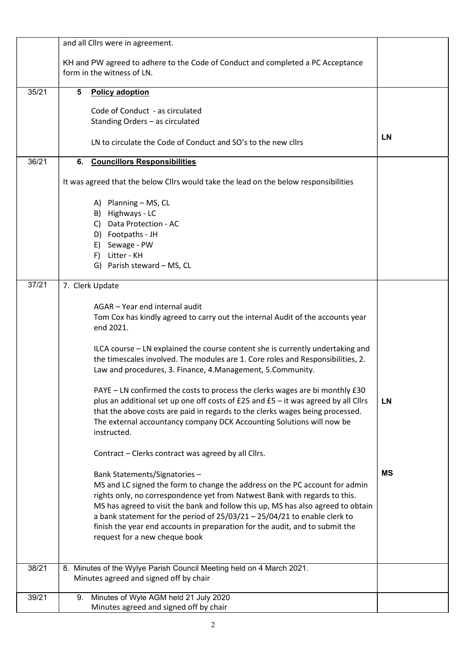|       | and all Cllrs were in agreement.                                                                                                                                                                                                                                                                                                                                                                                                                                              |           |
|-------|-------------------------------------------------------------------------------------------------------------------------------------------------------------------------------------------------------------------------------------------------------------------------------------------------------------------------------------------------------------------------------------------------------------------------------------------------------------------------------|-----------|
|       | KH and PW agreed to adhere to the Code of Conduct and completed a PC Acceptance<br>form in the witness of LN.                                                                                                                                                                                                                                                                                                                                                                 |           |
| 35/21 | <b>Policy adoption</b><br>5                                                                                                                                                                                                                                                                                                                                                                                                                                                   |           |
|       | Code of Conduct - as circulated                                                                                                                                                                                                                                                                                                                                                                                                                                               |           |
|       | Standing Orders - as circulated                                                                                                                                                                                                                                                                                                                                                                                                                                               |           |
|       | LN to circulate the Code of Conduct and SO's to the new cllrs                                                                                                                                                                                                                                                                                                                                                                                                                 | <b>LN</b> |
| 36/21 | 6. Councillors Responsibilities                                                                                                                                                                                                                                                                                                                                                                                                                                               |           |
|       | It was agreed that the below Cllrs would take the lead on the below responsibilities                                                                                                                                                                                                                                                                                                                                                                                          |           |
|       | A) Planning - MS, CL                                                                                                                                                                                                                                                                                                                                                                                                                                                          |           |
|       | B) Highways - LC                                                                                                                                                                                                                                                                                                                                                                                                                                                              |           |
|       | C) Data Protection - AC<br>D) Footpaths - JH                                                                                                                                                                                                                                                                                                                                                                                                                                  |           |
|       | E) Sewage - PW                                                                                                                                                                                                                                                                                                                                                                                                                                                                |           |
|       | F) Litter - KH                                                                                                                                                                                                                                                                                                                                                                                                                                                                |           |
|       | G) Parish steward - MS, CL                                                                                                                                                                                                                                                                                                                                                                                                                                                    |           |
| 37/21 | 7. Clerk Update                                                                                                                                                                                                                                                                                                                                                                                                                                                               |           |
|       |                                                                                                                                                                                                                                                                                                                                                                                                                                                                               |           |
|       | AGAR - Year end internal audit                                                                                                                                                                                                                                                                                                                                                                                                                                                |           |
|       | Tom Cox has kindly agreed to carry out the internal Audit of the accounts year<br>end 2021.                                                                                                                                                                                                                                                                                                                                                                                   |           |
|       | ILCA course - LN explained the course content she is currently undertaking and<br>the timescales involved. The modules are 1. Core roles and Responsibilities, 2.<br>Law and procedures, 3. Finance, 4. Management, 5. Community.                                                                                                                                                                                                                                             |           |
|       | PAYE - LN confirmed the costs to process the clerks wages are bi monthly £30<br>plus an additional set up one off costs of £25 and £5 - it was agreed by all Cllrs<br>that the above costs are paid in regards to the clerks wages being processed.<br>The external accountancy company DCK Accounting Solutions will now be<br>instructed.                                                                                                                                   | <b>LN</b> |
|       | Contract - Clerks contract was agreed by all Cllrs.                                                                                                                                                                                                                                                                                                                                                                                                                           |           |
|       | Bank Statements/Signatories-<br>MS and LC signed the form to change the address on the PC account for admin<br>rights only, no correspondence yet from Natwest Bank with regards to this.<br>MS has agreed to visit the bank and follow this up, MS has also agreed to obtain<br>a bank statement for the period of $25/03/21 - 25/04/21$ to enable clerk to<br>finish the year end accounts in preparation for the audit, and to submit the<br>request for a new cheque book | <b>MS</b> |
| 38/21 | 8. Minutes of the Wylye Parish Council Meeting held on 4 March 2021.<br>Minutes agreed and signed off by chair                                                                                                                                                                                                                                                                                                                                                                |           |
| 39/21 | Minutes of Wyle AGM held 21 July 2020<br>9.<br>Minutes agreed and signed off by chair                                                                                                                                                                                                                                                                                                                                                                                         |           |
|       |                                                                                                                                                                                                                                                                                                                                                                                                                                                                               |           |